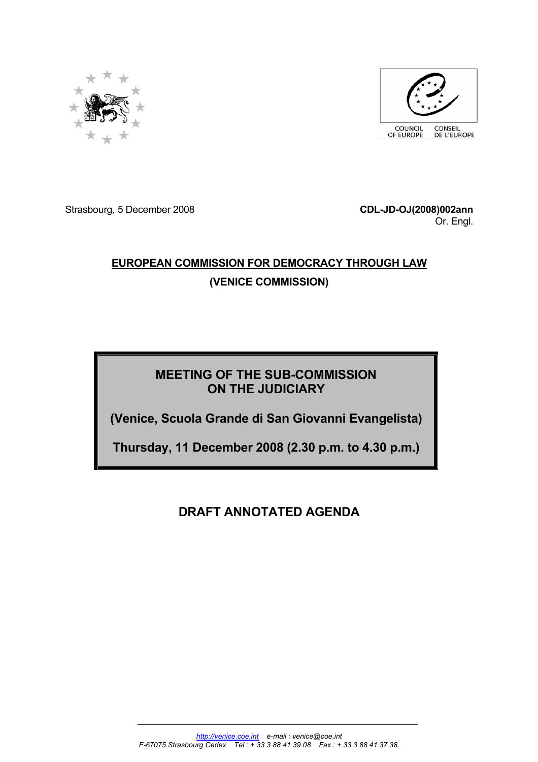



Strasbourg, 5 December 2008 **CDL-JD-OJ(2008)002ann**

Or. Engl.

# **EUROPEAN COMMISSION FOR DEMOCRACY THROUGH LAW (VENICE COMMISSION)**

# **MEETING OF THE SUB-COMMISSION ON THE JUDICIARY**

**(Venice, Scuola Grande di San Giovanni Evangelista)** 

**Thursday, 11 December 2008 (2.30 p.m. to 4.30 p.m.)**

# **DRAFT ANNOTATED AGENDA**